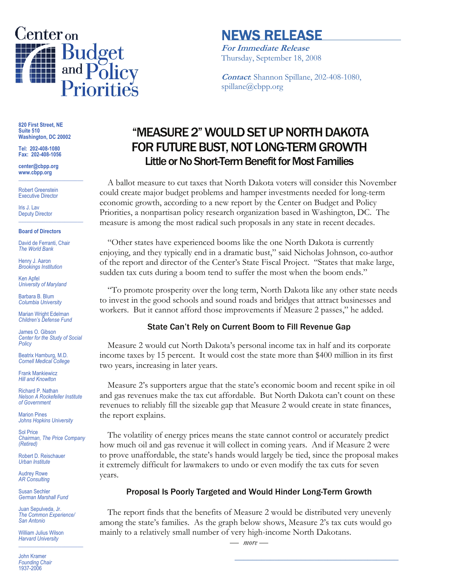

# NEWS RELEASE

**For Immediate Release** Thursday, September 18, 2008

**Contact**: Shannon Spillane, 202-408-1080, spillane@cbpp.org

**820 First Street, NE Suite 510 Washington, DC 20002** 

**Tel: 202-408-1080 Fax: 202-408-1056** 

**center@cbpp.org www.cbpp.org \_\_\_\_\_\_\_\_\_\_\_\_\_\_\_\_\_\_\_\_\_\_\_\_** 

Robert Greenstein Executive Director

Iris J. Lav Deputy Director **\_\_\_\_\_\_\_\_\_\_\_\_\_\_\_\_\_\_\_\_\_\_\_\_** 

#### **Board of Directors**

David de Ferranti, Chair *The World Bank* 

Henry J. Aaron *Brookings Institution* 

Ken Apfel *University of Maryland* 

Barbara B. Blum *Columbia University* 

Marian Wright Edelman *Children's Defense Fund* 

James O. Gibson *Center for the Study of Social Policy* 

Beatrix Hamburg, M.D. *Cornell Medical College* 

Frank Mankiewicz *Hill and Knowlton* 

Richard P. Nathan *Nelson A Rockefeller Institute of Government* 

Marion Pines *Johns Hopkins University* 

Sol Price *Chairman, The Price Company (Retired)* 

Robert D. Reischauer *Urban Institute* 

Audrey Rowe *AR Consulting* 

Susan Sechler *German Marshall Fund* 

Juan Sepulveda, Jr. *The Common Experience/ San Antonio* 

William Julius Wilson *Harvard University*  **\_\_\_\_\_\_\_\_\_\_\_\_\_\_\_\_\_\_\_\_\_\_\_\_** 

John Kramer *Founding Chair*  1937-2006

# "MEASURE 2" WOULD SET UP NORTH DAKOTA FOR FUTURE BUST, NOT LONG-TERM GROWTH Little or No Short-Term Benefit for Most Families

 A ballot measure to cut taxes that North Dakota voters will consider this November could create major budget problems and hamper investments needed for long-term economic growth, according to a new report by the Center on Budget and Policy Priorities, a nonpartisan policy research organization based in Washington, DC. The measure is among the most radical such proposals in any state in recent decades.

 "Other states have experienced booms like the one North Dakota is currently enjoying, and they typically end in a dramatic bust," said Nicholas Johnson, co-author of the report and director of the Center's State Fiscal Project. "States that make large, sudden tax cuts during a boom tend to suffer the most when the boom ends."

 "To promote prosperity over the long term, North Dakota like any other state needs to invest in the good schools and sound roads and bridges that attract businesses and workers. But it cannot afford those improvements if Measure 2 passes," he added.

#### State Can't Rely on Current Boom to Fill Revenue Gap

Measure 2 would cut North Dakota's personal income tax in half and its corporate income taxes by 15 percent. It would cost the state more than \$400 million in its first two years, increasing in later years.

 Measure 2's supporters argue that the state's economic boom and recent spike in oil and gas revenues make the tax cut affordable. But North Dakota can't count on these revenues to reliably fill the sizeable gap that Measure 2 would create in state finances, the report explains.

The volatility of energy prices means the state cannot control or accurately predict how much oil and gas revenue it will collect in coming years. And if Measure 2 were to prove unaffordable, the state's hands would largely be tied, since the proposal makes it extremely difficult for lawmakers to undo or even modify the tax cuts for seven years.

### Proposal Is Poorly Targeted and Would Hinder Long-Term Growth

The report finds that the benefits of Measure 2 would be distributed very unevenly among the state's families. As the graph below shows, Measure 2's tax cuts would go mainly to a relatively small number of very high-income North Dakotans.

*— more —* 

**\_\_\_\_\_\_\_\_\_\_\_\_\_\_\_\_\_\_\_\_\_\_\_\_\_\_\_\_\_\_\_\_\_\_\_\_\_**